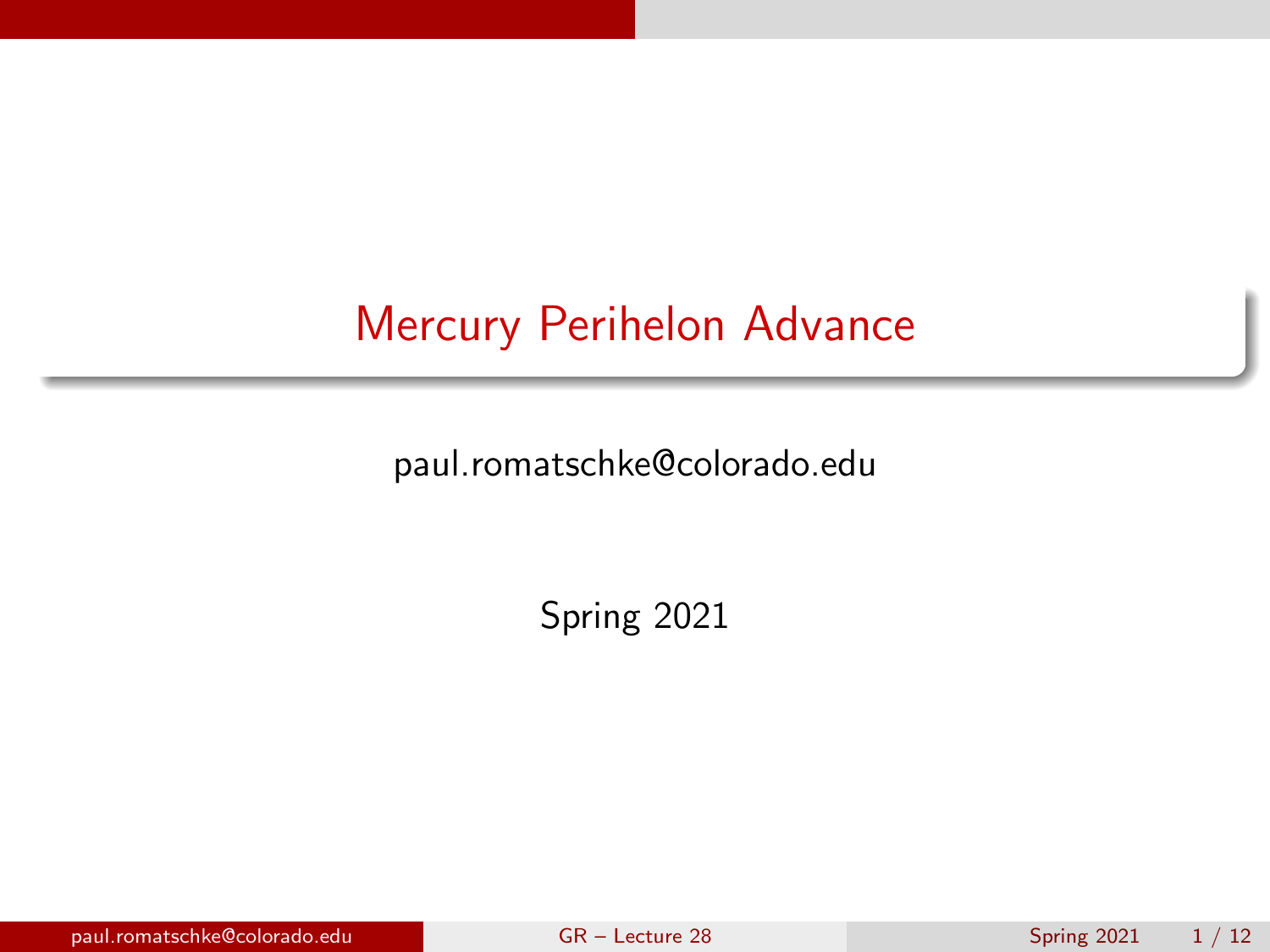<span id="page-0-0"></span>paul.romatschke@colorado.edu

Spring 2021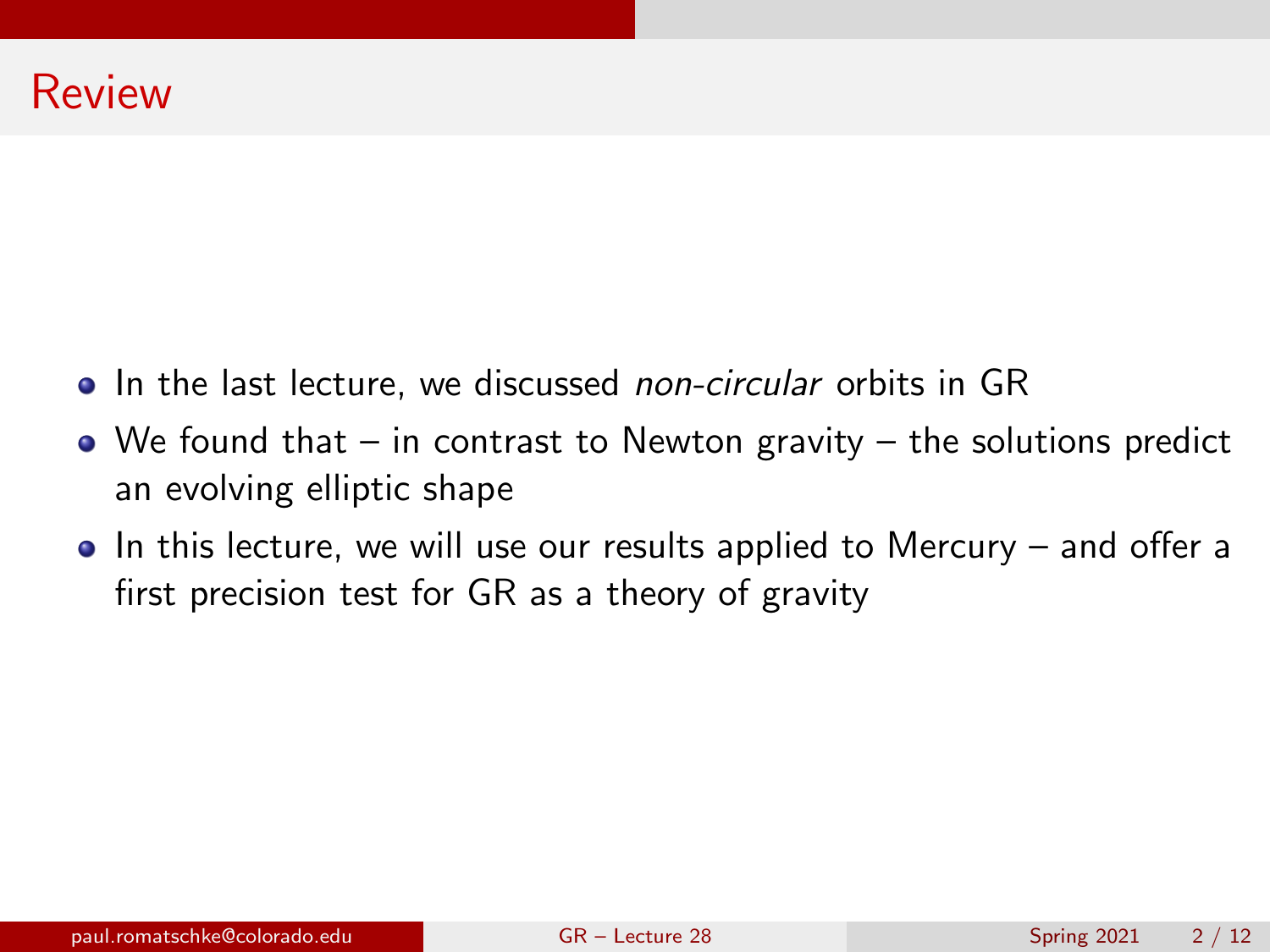- In the last lecture, we discussed non-circular orbits in GR
- $\bullet$  We found that in contrast to Newton gravity the solutions predict an evolving elliptic shape
- $\bullet$  In this lecture, we will use our results applied to Mercury and offer a first precision test for GR as a theory of gravity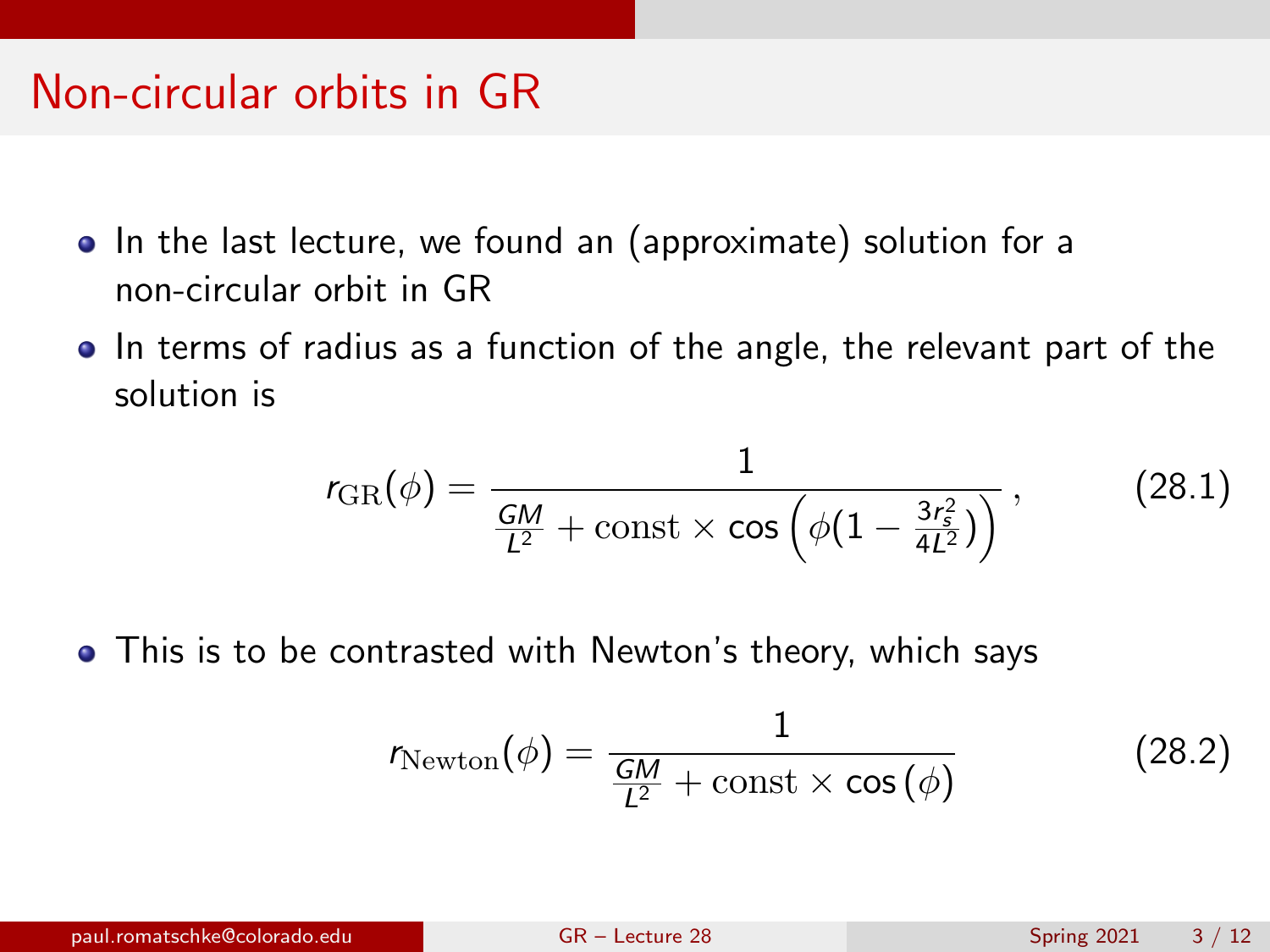### Non-circular orbits in GR

- In the last lecture, we found an (approximate) solution for a non-circular orbit in GR
- In terms of radius as a function of the angle, the relevant part of the solution is

<span id="page-2-0"></span>
$$
r_{\text{GR}}(\phi) = \frac{1}{\frac{GM}{L^2} + \text{const} \times \cos\left(\phi(1 - \frac{3r_s^2}{4L^2})\right)},
$$
 (28.1)

• This is to be contrasted with Newton's theory, which says

$$
r_{\text{Newton}}(\phi) = \frac{1}{\frac{GM}{L^2} + \text{const} \times \cos(\phi)}
$$
(28.2)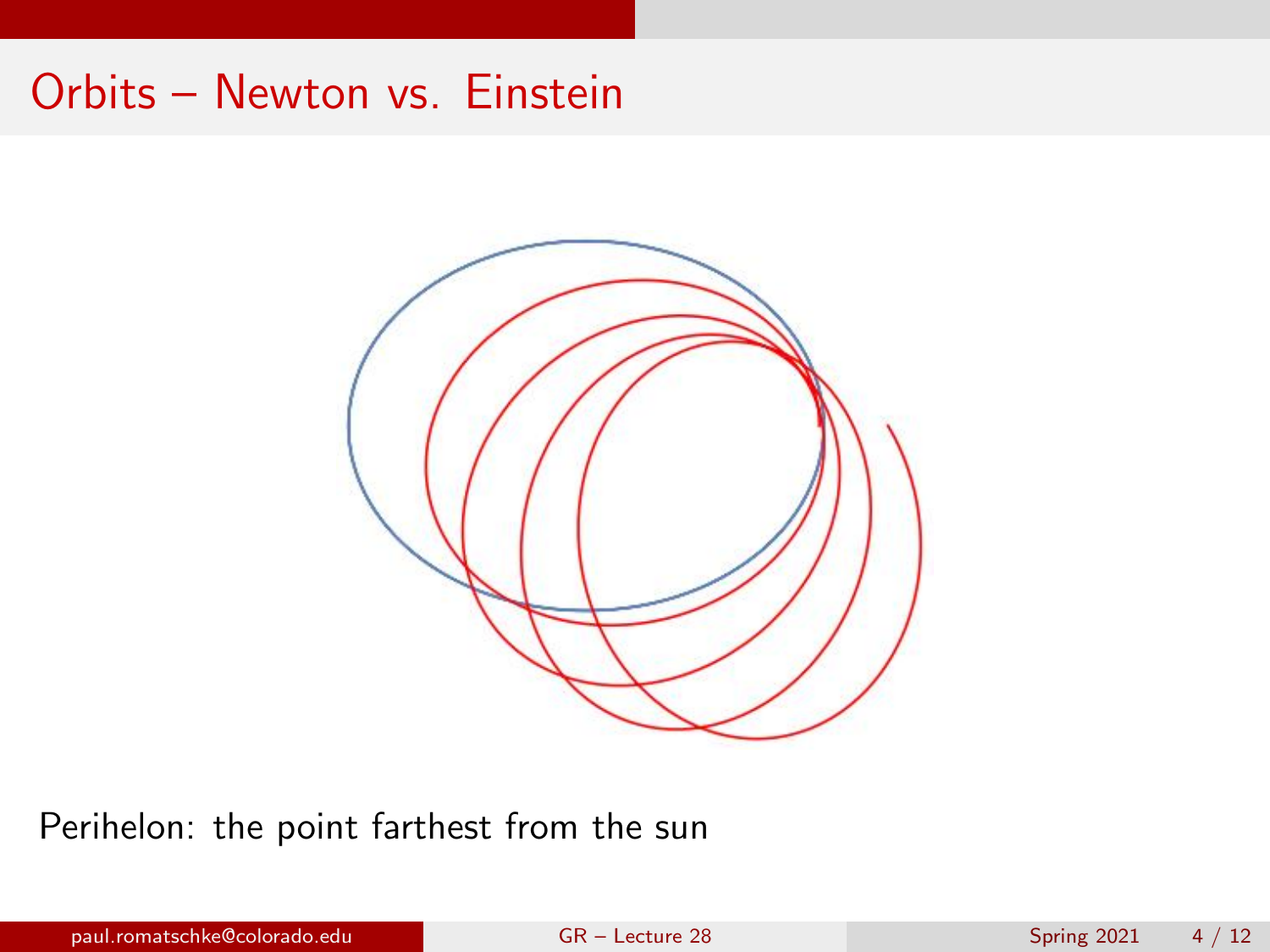### Orbits – Newton vs. Einstein



Perihelon: the point farthest from the sun

paul.romatschke@colorado.edu [GR – Lecture 28](#page-0-0) Spring 2021 4 / 12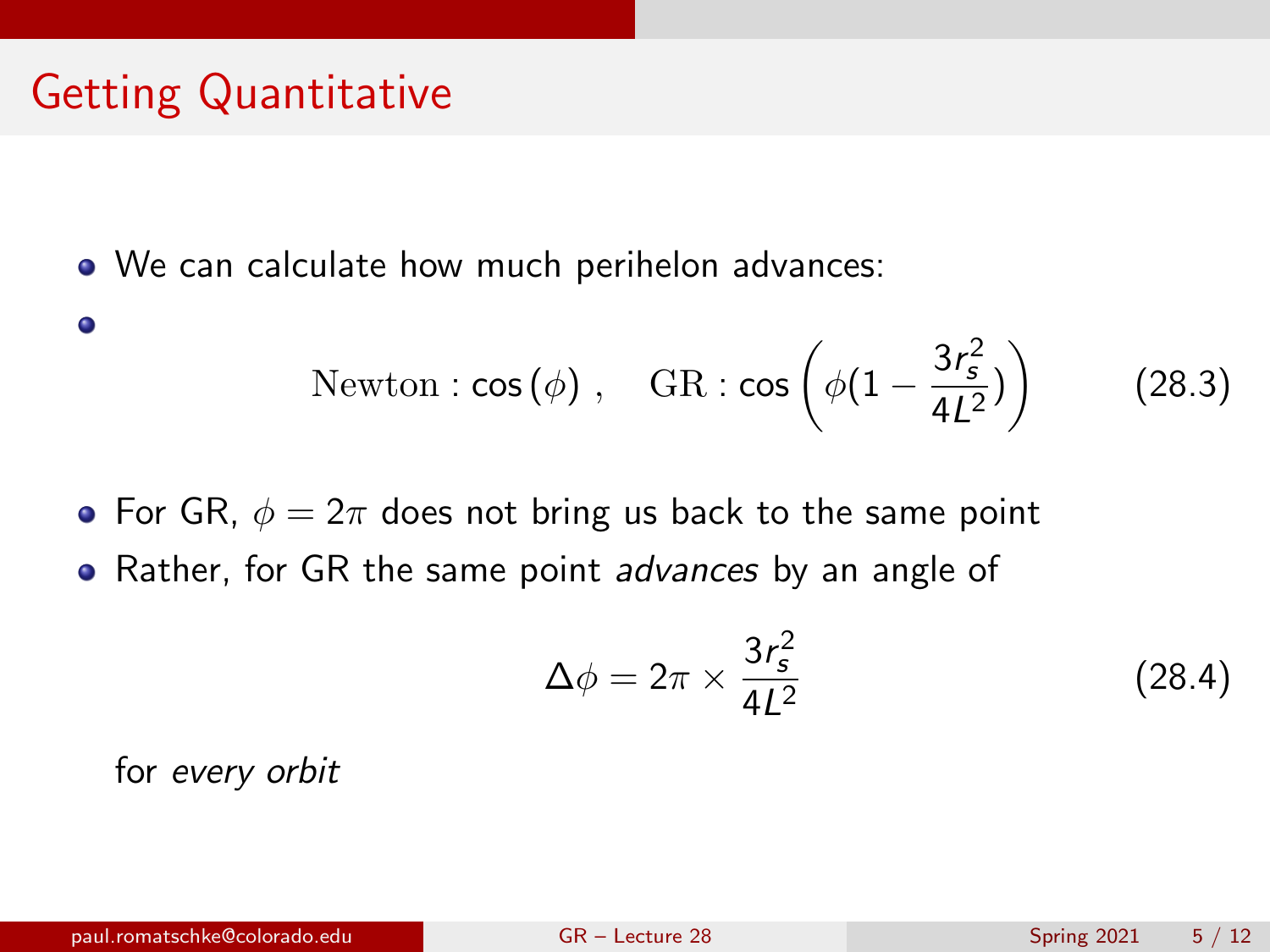# Getting Quantitative

 $\bullet$ 

We can calculate how much perihelon advances:

Newton: 
$$
\cos(\phi)
$$
, GR:  $\cos\left(\phi(1-\frac{3r_s^2}{4L^2})\right)$  (28.3)

• For GR,  $\phi = 2\pi$  does not bring us back to the same point

• Rather, for GR the same point *advances* by an angle of

$$
\Delta \phi = 2\pi \times \frac{3r_s^2}{4L^2} \tag{28.4}
$$

for every orbit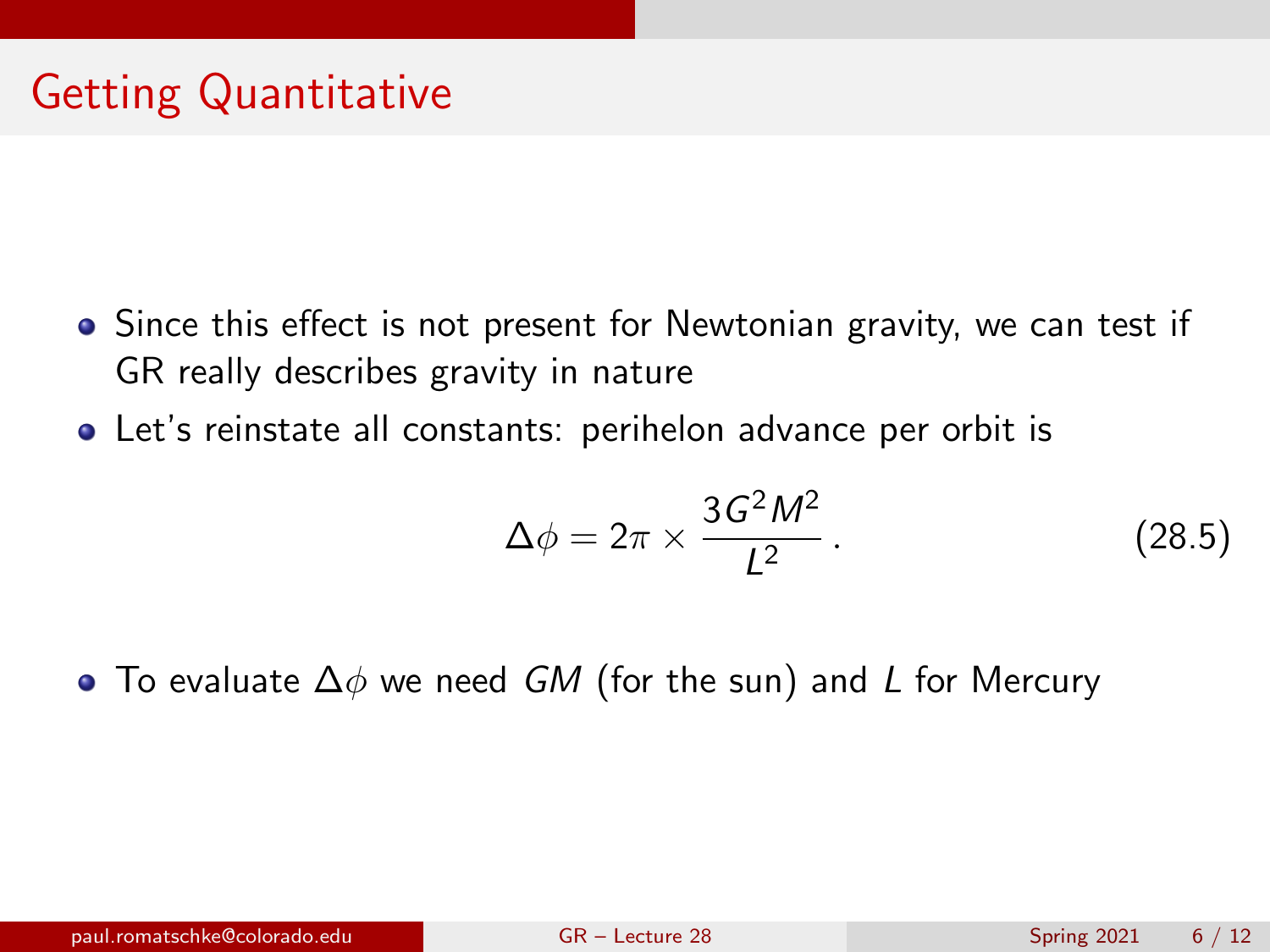- Since this effect is not present for Newtonian gravity, we can test if GR really describes gravity in nature
- Let's reinstate all constants: perihelon advance per orbit is

<span id="page-5-0"></span>
$$
\Delta \phi = 2\pi \times \frac{3G^2M^2}{L^2} \,. \tag{28.5}
$$

• To evaluate  $\Delta\phi$  we need GM (for the sun) and L for Mercury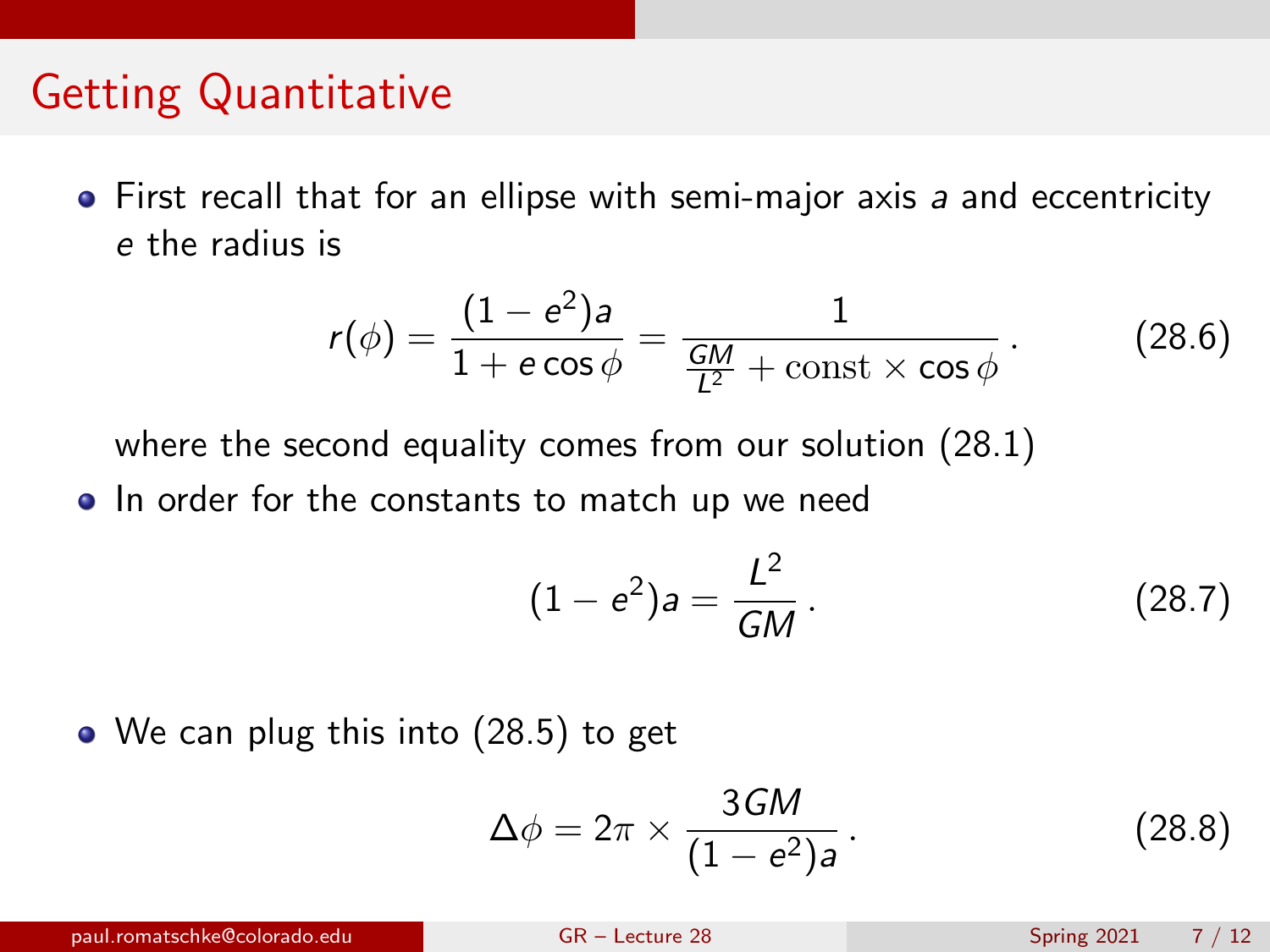### Getting Quantitative

 $\bullet$  First recall that for an ellipse with semi-major axis a and eccentricity e the radius is

$$
r(\phi) = \frac{(1-e^2)a}{1+e\cos\phi} = \frac{1}{\frac{GM}{L^2}+\text{const}\times\cos\phi}.
$$
 (28.6)

where the second equality comes from our solution [\(28.1\)](#page-2-0)

• In order for the constants to match up we need

$$
(1 - e2)a = \frac{L2}{GM}.
$$
 (28.7)

• We can plug this into [\(28.5\)](#page-5-0) to get

$$
\Delta \phi = 2\pi \times \frac{3GM}{(1 - e^2)a} \,. \tag{28.8}
$$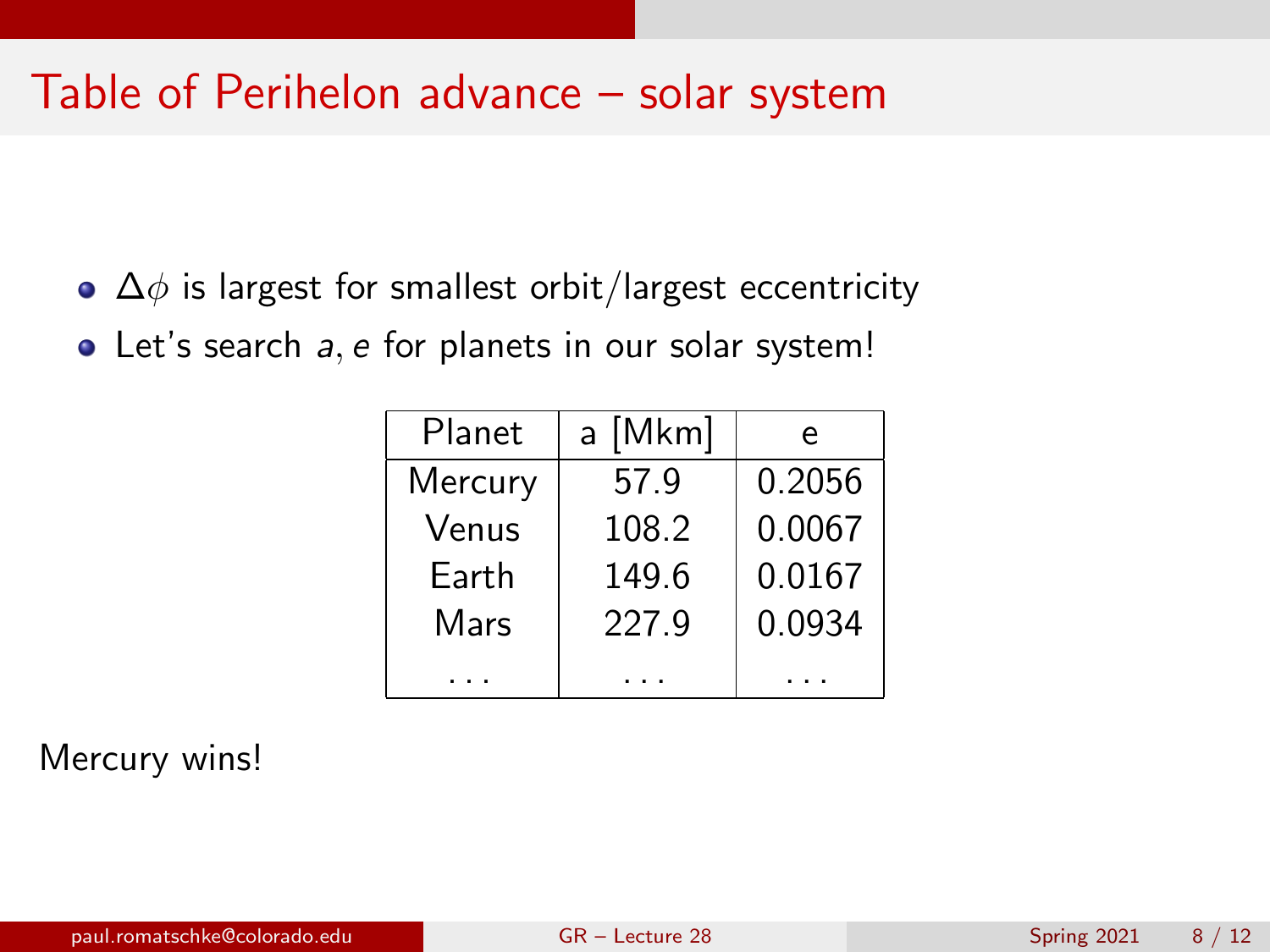#### Table of Perihelon advance – solar system

- $\bullet$   $\Delta\phi$  is largest for smallest orbit/largest eccentricity
- Let's search a, e for planets in our solar system!

| Planet  | a [Mkm] | e      |
|---------|---------|--------|
| Mercury | 57.9    | 0.2056 |
| Venus   | 108.2   | 0.0067 |
| Earth   | 149.6   | 0.0167 |
| Mars    | 227.9   | 0.0934 |
|         |         |        |

Mercury wins!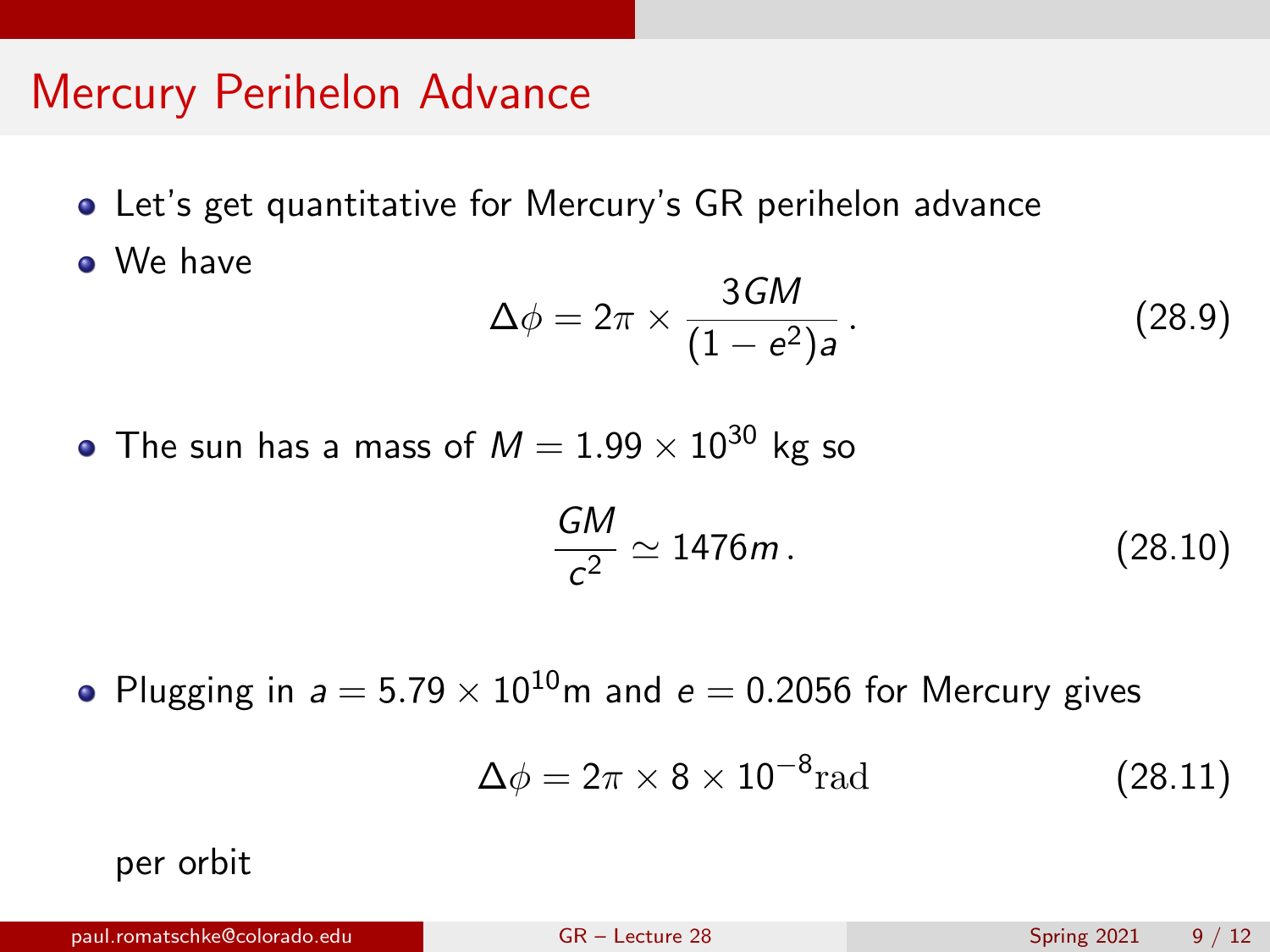- Let's get quantitative for Mercury's GR perihelon advance
- We have

$$
\Delta \phi = 2\pi \times \frac{3GM}{(1 - e^2)a} \,. \tag{28.9}
$$

• The sun has a mass of  $M = 1.99 \times 10^{30}$  kg so

$$
\frac{GM}{c^2} \simeq 1476m\,. \tag{28.10}
$$

• Plugging in  $a = 5.79 \times 10^{10}$ m and  $e = 0.2056$  for Mercury gives

$$
\Delta \phi = 2\pi \times 8 \times 10^{-8} \text{rad}
$$
 (28.11)

per orbit

paul.romatschke@colorado.edu [GR – Lecture 28](#page-0-0) Spring 2021 9 / 12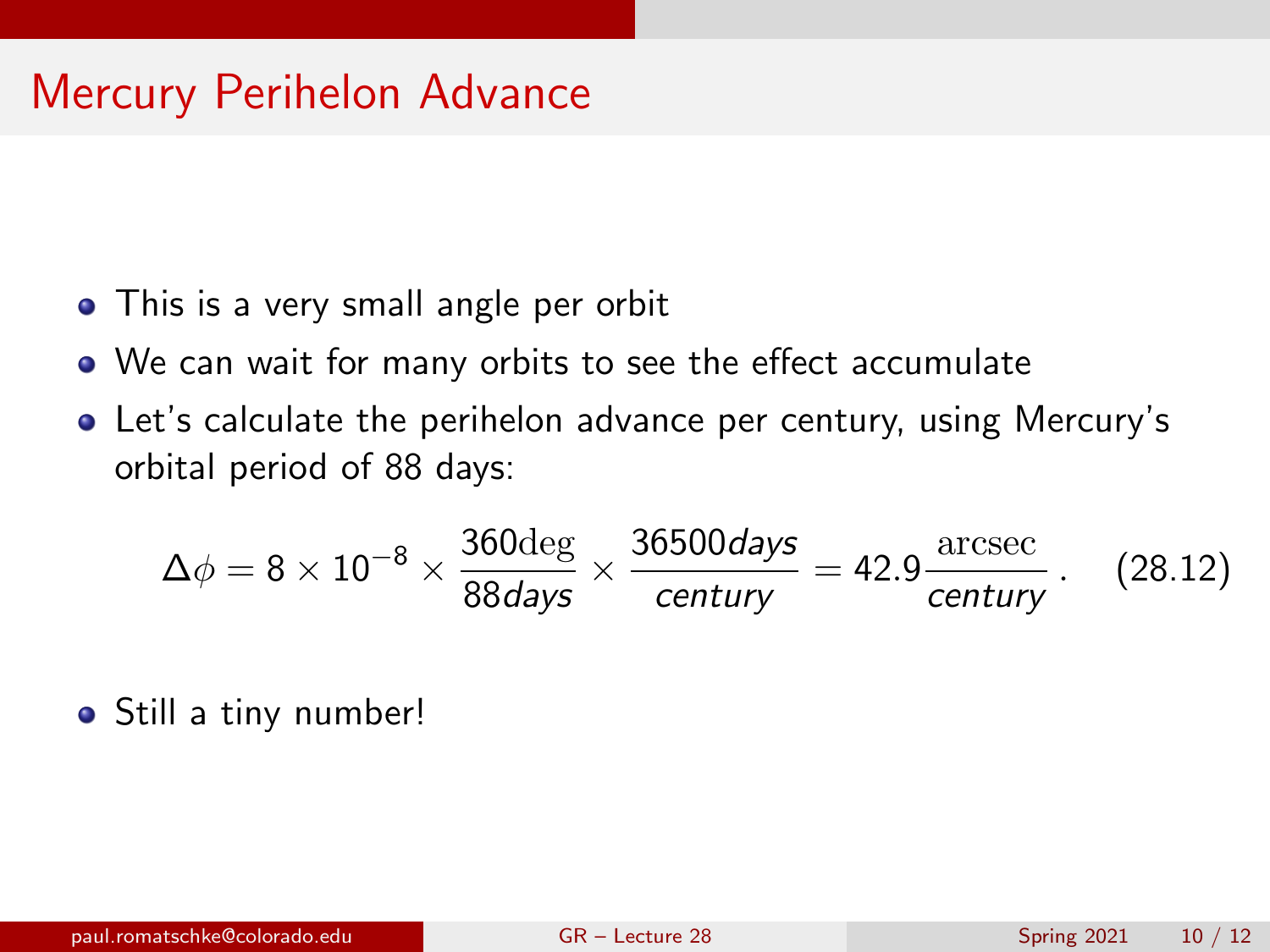- This is a very small angle per orbit
- We can wait for many orbits to see the effect accumulate
- Let's calculate the perihelon advance per century, using Mercury's orbital period of 88 days:

$$
\Delta\phi = 8 \times 10^{-8} \times \frac{360 \text{deg}}{88 \text{days}} \times \frac{36500 \text{days}}{\text{century}} = 42.9 \frac{\text{arcsec}}{\text{century}}. \quad (28.12)
$$

• Still a tiny number!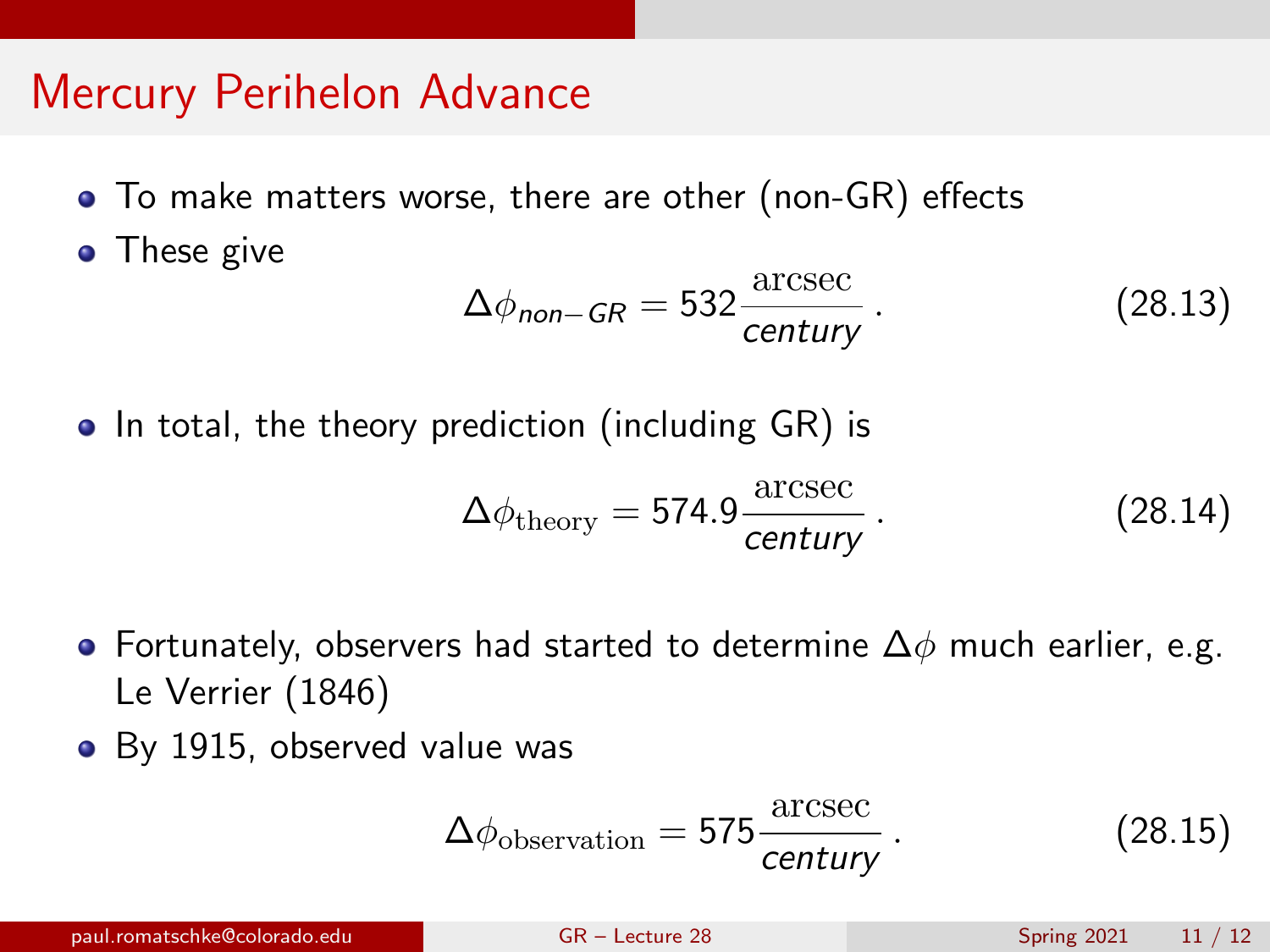- To make matters worse, there are other (non-GR) effects
- These give

$$
\Delta\phi_{\text{non-GR}} = 532 \frac{\text{arcsec}}{\text{century}} \,. \tag{28.13}
$$

• In total, the theory prediction (including GR) is

$$
\Delta\phi_{\text{theory}} = 574.9 \frac{\text{arcsec}}{\text{century}} \,. \tag{28.14}
$$

- Fortunately, observers had started to determine  $\Delta\phi$  much earlier, e.g. Le Verrier (1846)
- By 1915, observed value was

$$
\Delta\phi_{\text{observation}} = 575 \frac{\text{arcsec}}{\text{century}}.
$$
\n(28.15)